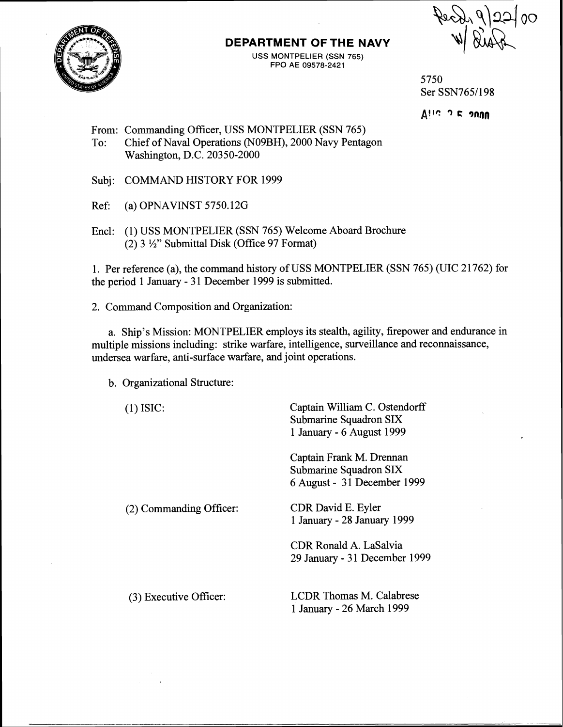

## **DEPARTMENT OF THE NAVY**

USS MONTPELIER (SSN **765)**  FPO AE 09578-2421



5750 Ser SSN765/198

**Altc 3 C 9nnn** 

From: Commanding Officer, USS MONTPELIER (SSN 765)

- To: Chief of Naval Operations (N09BH), 2000 Navy Pentagon Washington, D.C. 20350-2000
- Subj: COMMAND HISTORY FOR 1999
- Ref: (a) OPNAVINST 5750.126
- Encl: (1) USS MONTPELIER (SSN 765) Welcome Aboard Brochure (2) **3** %" Submittal Disk (Office 97 Format)

1. Per reference (a), the command history of USS MONTPELIER (SSN 765) (UIC 21762) for the period 1 January - 31 December 1999 is submitted.

2. Command Composition and Organization:

a. Ship's Mission: MONTPELIER employs its stealth, agility, firepower and endurance in multiple missions including: strike warfare, intelligence, surveillance and reconnaissance, undersea warfare, anti-surface warfare, and joint operations.

b. Organizational Structure:

| $(1)$ ISIC:             | Captain William C. Ostendorff<br>Submarine Squadron SIX<br>1 January - 6 August 1999 |
|-------------------------|--------------------------------------------------------------------------------------|
|                         | Captain Frank M. Drennan<br>Submarine Squadron SIX<br>6 August - 31 December 1999    |
| (2) Commanding Officer: | CDR David E. Eyler<br>1 January - 28 January 1999                                    |
|                         | CDR Ronald A. LaSalvia<br>29 January - 31 December 1999                              |
| (3) Executive Officer:  | <b>LCDR</b> Thomas M. Calabrese<br>1 January - 26 March 1999                         |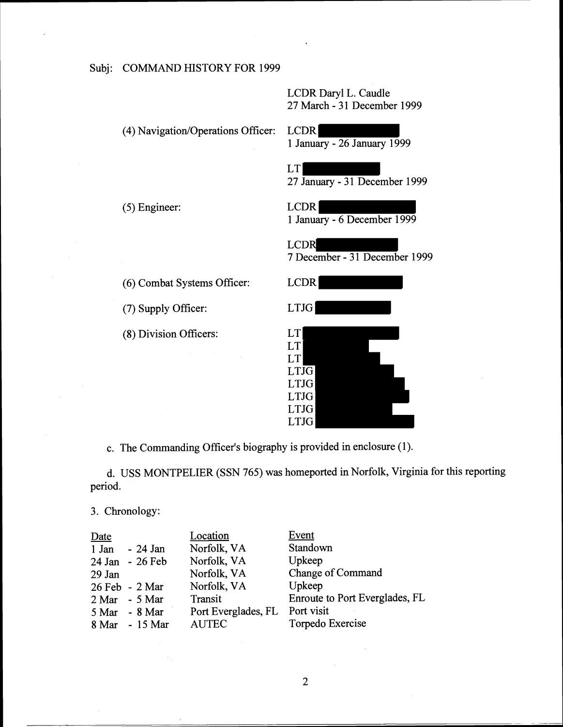LCDR Daryl L. Caudle 27 March - 31 December 1999

(4) Navigation/Operations Officer: LCDR 1 January - 26 January 1999

LCDR

LT 27 January - **3** 1 December 1999

(5) Engineer: LCDR

1 January - 6 December 1999

(6) Combat Systems Officer:

(7) Supply Officer:

(8) Division Officers:

| 7 December - 31 December 1999             |
|-------------------------------------------|
| <b>LCDR</b>                               |
| <b>LTJG</b>                               |
| LT<br>LT<br>LT                            |
| <b>LTJG</b><br><b>LTJG</b><br><b>LTJG</b> |
| <b>LTJG</b><br><b>LTJG</b>                |

c. The Commanding Officer's biography is provided in enclosure (1).

d. USS MONTPELIER (SSN 765) was homeported in Norfolk, Virginia for this reporting period.

| period. |                   |                     |                                |
|---------|-------------------|---------------------|--------------------------------|
|         | 3. Chronology:    |                     |                                |
| Date    |                   | Location            | Event                          |
| 1 Jan   | $-24$ Jan         | Norfolk, VA         | Standown                       |
|         | 24 Jan - 26 Feb   | Norfolk, VA         | Upkeep                         |
| 29 Jan  |                   | Norfolk, VA         | Change of Command              |
|         | 26 Feb - 2 Mar    | Norfolk, VA         | Upkeep                         |
| 2 Mar   | - 5 Mar           | Transit             | Enroute to Port Everglades, FL |
|         | $5$ Mar - $8$ Mar | Port Everglades, FL | Port visit                     |
| 8 Mar   | - 15 Mar          | <b>AUTEC</b>        | Torpedo Exercise               |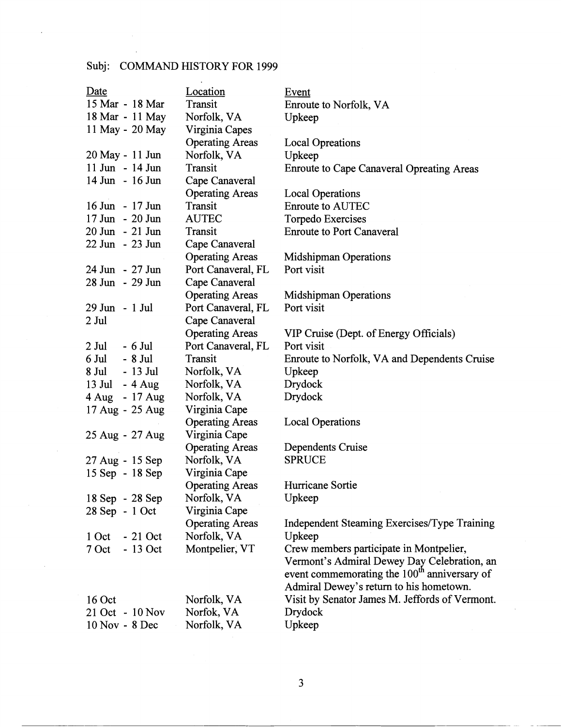## Subj: COMMAND HISTORY FOR 1999

| Date                 | Location               | Event                                                    |
|----------------------|------------------------|----------------------------------------------------------|
| 15 Mar - 18 Mar      | Transit                | Enroute to Norfolk, VA                                   |
| 18 Mar - 11 May      | Norfolk, VA            | Upkeep                                                   |
| 11 May - 20 May      | Virginia Capes         |                                                          |
|                      | <b>Operating Areas</b> | <b>Local Opreations</b>                                  |
| 20 May - 11 Jun      | Norfolk, VA            | Upkeep                                                   |
| 11 Jun - 14 Jun      | Transit                | <b>Enroute to Cape Canaveral Opreating Areas</b>         |
| 14 Jun - 16 Jun      | Cape Canaveral         |                                                          |
|                      | <b>Operating Areas</b> | <b>Local Operations</b>                                  |
| 16 Jun - 17 Jun      | Transit                | <b>Enroute to AUTEC</b>                                  |
| 17 Jun - 20 Jun      | <b>AUTEC</b>           | Torpedo Exercises                                        |
| 20 Jun - 21 Jun      | Transit                | <b>Enroute to Port Canaveral</b>                         |
| 22 Jun - 23 Jun      | Cape Canaveral         |                                                          |
|                      | <b>Operating Areas</b> | <b>Midshipman Operations</b>                             |
| 24 Jun - 27 Jun      | Port Canaveral, FL     | Port visit                                               |
| 28 Jun - 29 Jun      | Cape Canaveral         |                                                          |
|                      | <b>Operating Areas</b> | <b>Midshipman Operations</b>                             |
| 29 Jun - 1 Jul       | Port Canaveral, FL     | Port visit                                               |
| 2 Jul                | Cape Canaveral         |                                                          |
|                      | <b>Operating Areas</b> | VIP Cruise (Dept. of Energy Officials)                   |
| $2$ Jul<br>$-6$ Jul  | Port Canaveral, FL     | Port visit                                               |
| 6 Jul - 8 Jul        | Transit                | Enroute to Norfolk, VA and Dependents Cruise             |
| 8 Jul - 13 Jul       | Norfolk, VA            | Upkeep                                                   |
| $13$ Jul<br>$-4$ Aug | Norfolk, VA            | Drydock                                                  |
| 4 Aug - 17 Aug       | Norfolk, VA            | Drydock                                                  |
| 17 Aug - 25 Aug      | Virginia Cape          |                                                          |
|                      | <b>Operating Areas</b> | <b>Local Operations</b>                                  |
| 25 Aug - 27 Aug      | Virginia Cape          |                                                          |
|                      | <b>Operating Areas</b> | Dependents Cruise                                        |
| 27 Aug - 15 Sep      | Norfolk, VA            | <b>SPRUCE</b>                                            |
| 15 Sep - 18 Sep      | Virginia Cape          |                                                          |
|                      | <b>Operating Areas</b> | Hurricane Sortie                                         |
| 18 Sep - 28 Sep      | Norfolk, VA            | Upkeep                                                   |
| 28 Sep - 1 Oct       | Virginia Cape          |                                                          |
|                      | <b>Operating Areas</b> | Independent Steaming Exercises/Type Training             |
| $-21$ Oct<br>1 Oct   | Norfolk, VA            | Upkeep                                                   |
| 7 Oct<br>$-13$ Oct   | Montpelier, VT         | Crew members participate in Montpelier,                  |
|                      |                        | Vermont's Admiral Dewey Day Celebration, an              |
|                      |                        | event commemorating the 100 <sup>th</sup> anniversary of |
|                      |                        | Admiral Dewey's return to his hometown.                  |
| 16 Oct               | Norfolk, VA            | Visit by Senator James M. Jeffords of Vermont.           |
| 21 Oct - 10 Nov      | Norfok, VA             | Drydock                                                  |
| 10 Nov - 8 Dec       | Norfolk, VA            | Upkeep                                                   |

 $\overline{3}$